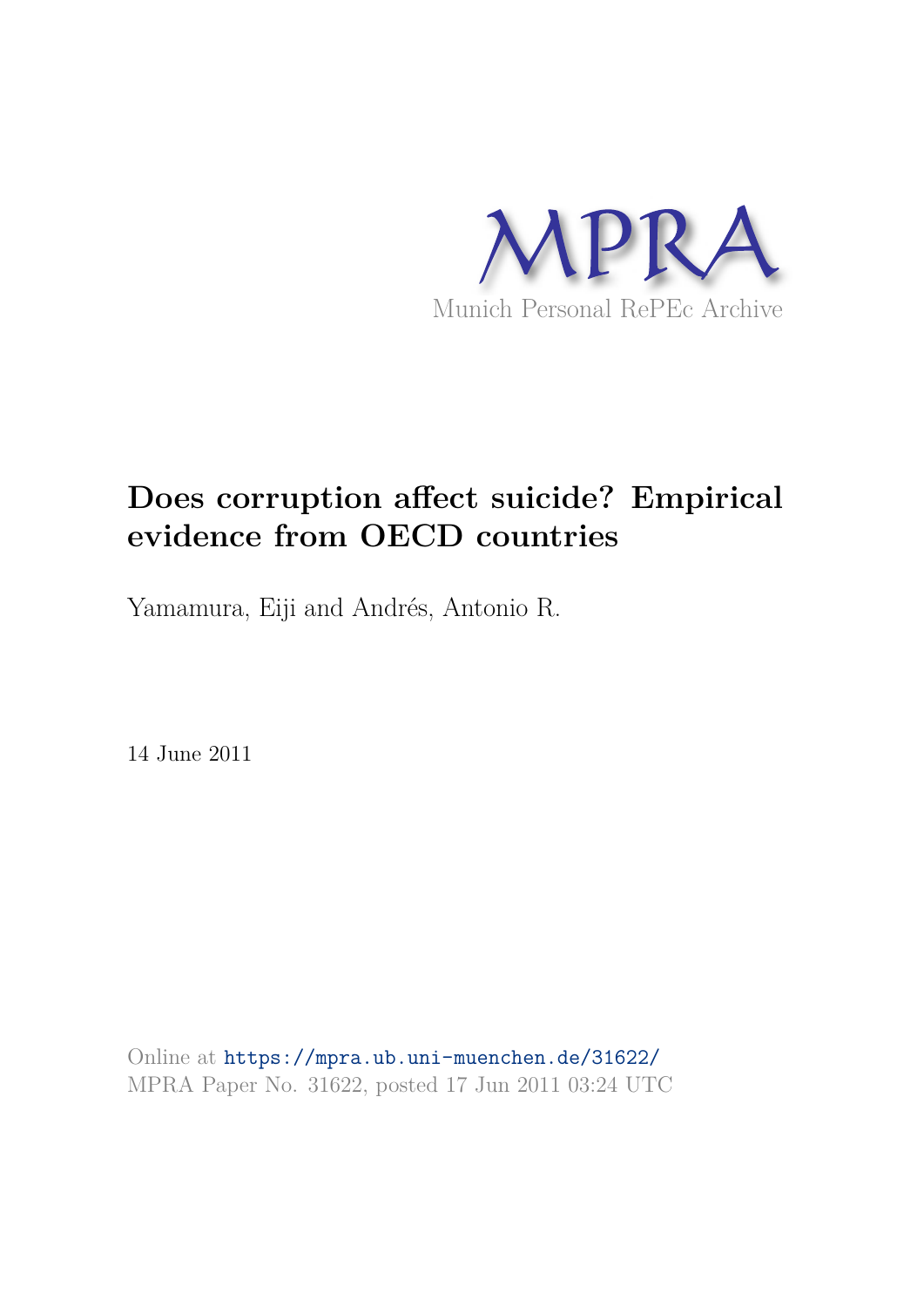

# **Does corruption affect suicide? Empirical evidence from OECD countries**

Yamamura, Eiji and Andrés, Antonio R.

14 June 2011

Online at https://mpra.ub.uni-muenchen.de/31622/ MPRA Paper No. 31622, posted 17 Jun 2011 03:24 UTC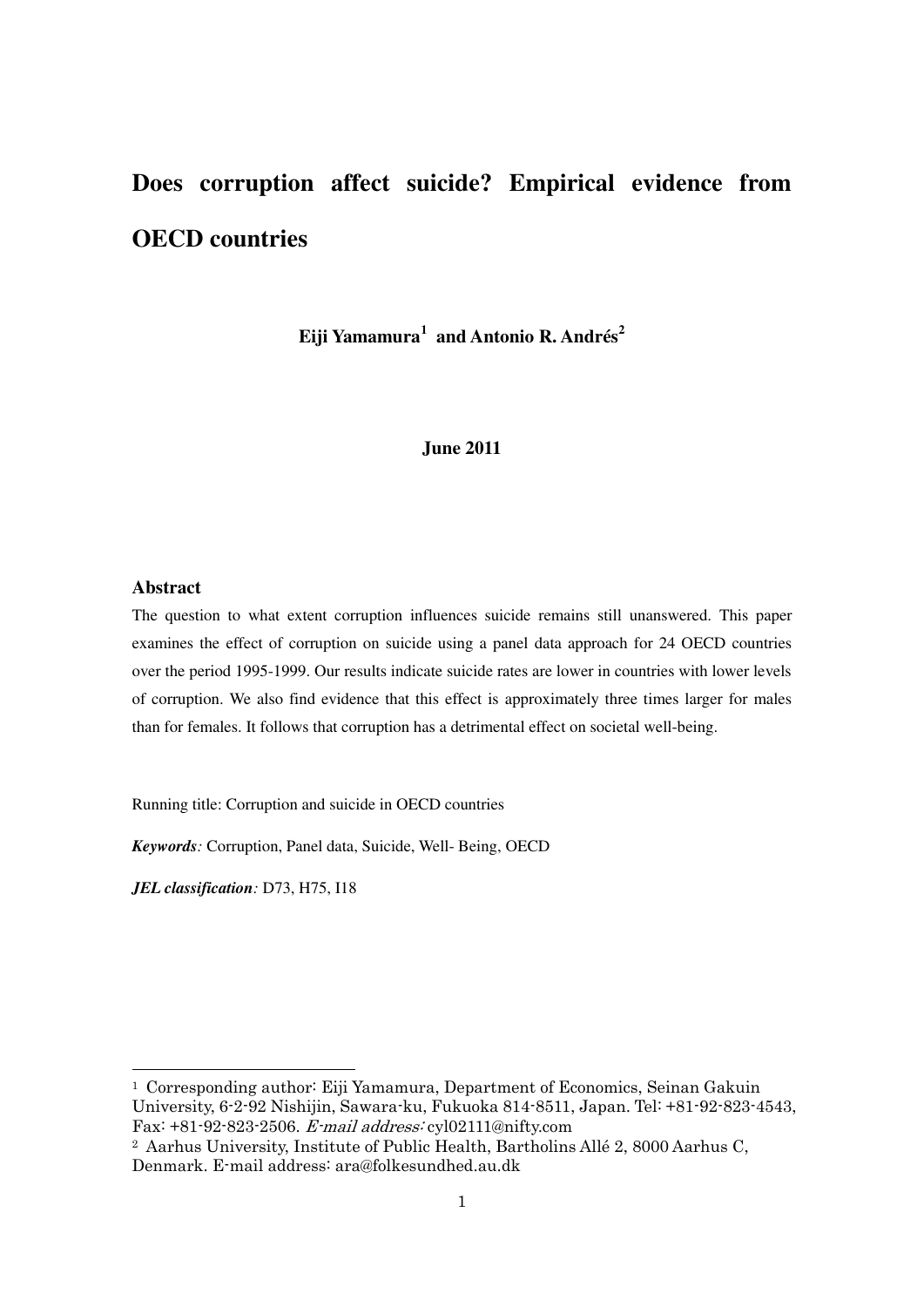# **Does corruption affect suicide? Empirical evidence from OECD countries**

**Eiji Yamamura<sup>1</sup> and Antonio R. Andrés<sup>2</sup>**

#### **June 2011**

#### **Abstract**

1

The question to what extent corruption influences suicide remains still unanswered. This paper examines the effect of corruption on suicide using a panel data approach for 24 OECD countries over the period 1995-1999. Our results indicate suicide rates are lower in countries with lower levels of corruption. We also find evidence that this effect is approximately three times larger for males than for females. It follows that corruption has a detrimental effect on societal well-being.

Running title: Corruption and suicide in OECD countries

*Keywords:* Corruption, Panel data, Suicide, Well- Being, OECD

*JEL classification:* D73, H75, I18

<sup>1</sup> Corresponding author: Eiji Yamamura, Department of Economics, Seinan Gakuin University, 6-2-92 Nishijin, Sawara-ku, Fukuoka 814-8511, Japan. Tel: +81-92-823-4543, Fax: +81-92-823-2506. E-mail address: cyl02111@nifty.com

<sup>2</sup> Aarhus University, Institute of Public Health, Bartholins Allé 2, 8000 Aarhus C, Denmark. E-mail address: ara@folkesundhed.au.dk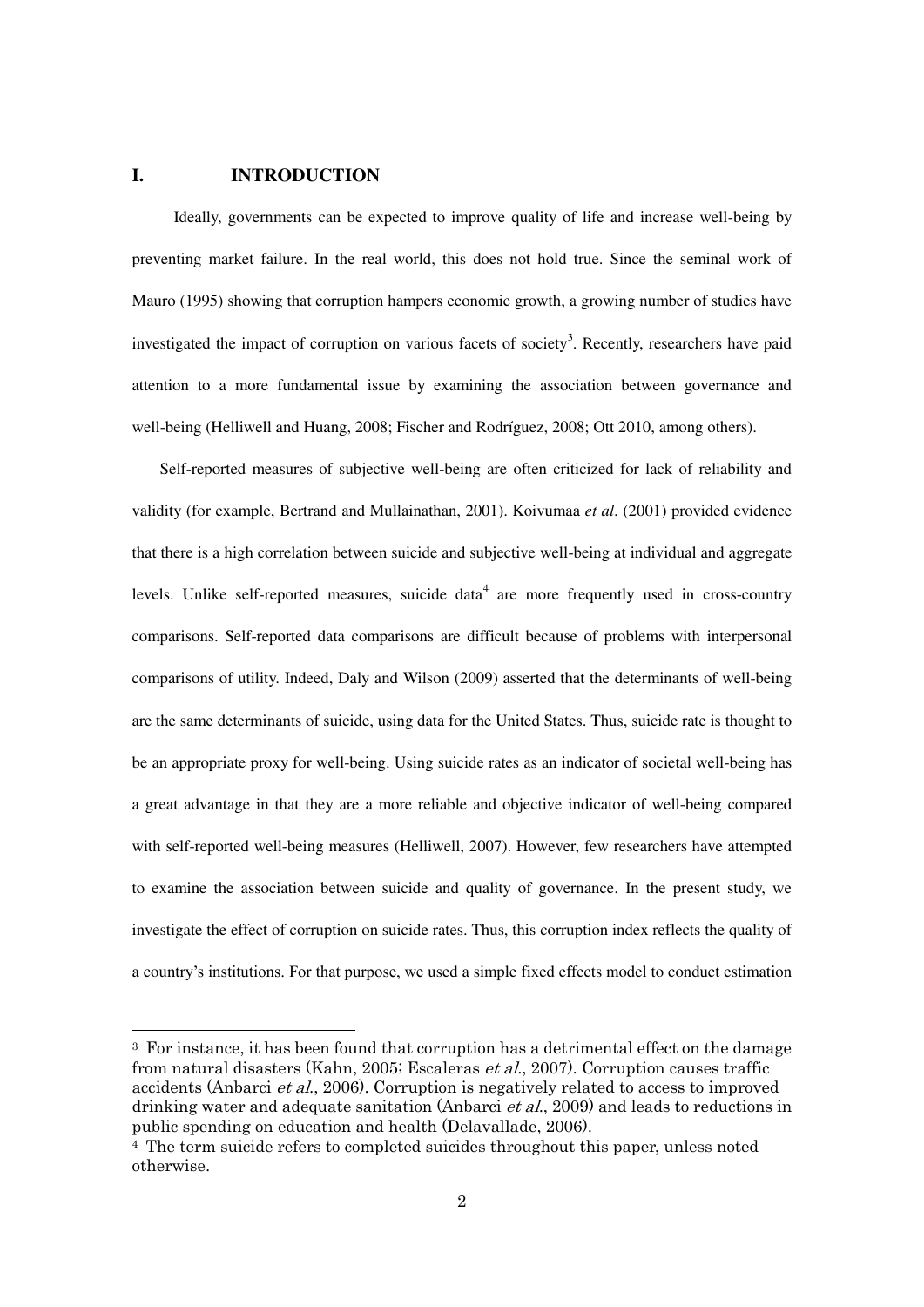### **I. INTRODUCTION**

-

Ideally, governments can be expected to improve quality of life and increase well-being by preventing market failure. In the real world, this does not hold true. Since the seminal work of Mauro (1995) showing that corruption hampers economic growth, a growing number of studies have investigated the impact of corruption on various facets of society<sup>3</sup>. Recently, researchers have paid attention to a more fundamental issue by examining the association between governance and well-being (Helliwell and Huang, 2008; Fischer and Rodríguez, 2008; Ott 2010, among others).

Self-reported measures of subjective well-being are often criticized for lack of reliability and validity (for example, Bertrand and Mullainathan, 2001). Koivumaa *et al*. (2001) provided evidence that there is a high correlation between suicide and subjective well-being at individual and aggregate levels. Unlike self-reported measures, suicide data<sup>4</sup> are more frequently used in cross-country comparisons. Self-reported data comparisons are difficult because of problems with interpersonal comparisons of utility. Indeed, Daly and Wilson (2009) asserted that the determinants of well-being are the same determinants of suicide, using data for the United States. Thus, suicide rate is thought to be an appropriate proxy for well-being. Using suicide rates as an indicator of societal well-being has a great advantage in that they are a more reliable and objective indicator of well-being compared with self-reported well-being measures (Helliwell, 2007). However, few researchers have attempted to examine the association between suicide and quality of governance. In the present study, we investigate the effect of corruption on suicide rates. Thus, this corruption index reflects the quality of a country's institutions. For that purpose, we used a simple fixed effects model to conduct estimation

<sup>3</sup> For instance, it has been found that corruption has a detrimental effect on the damage from natural disasters (Kahn, 2005; Escaleras et al., 2007). Corruption causes traffic accidents (Anbarci et al., 2006). Corruption is negatively related to access to improved drinking water and adequate sanitation (Anbarci *et al.*, 2009) and leads to reductions in public spending on education and health (Delavallade, 2006).

<sup>4</sup> The term suicide refers to completed suicides throughout this paper, unless noted otherwise.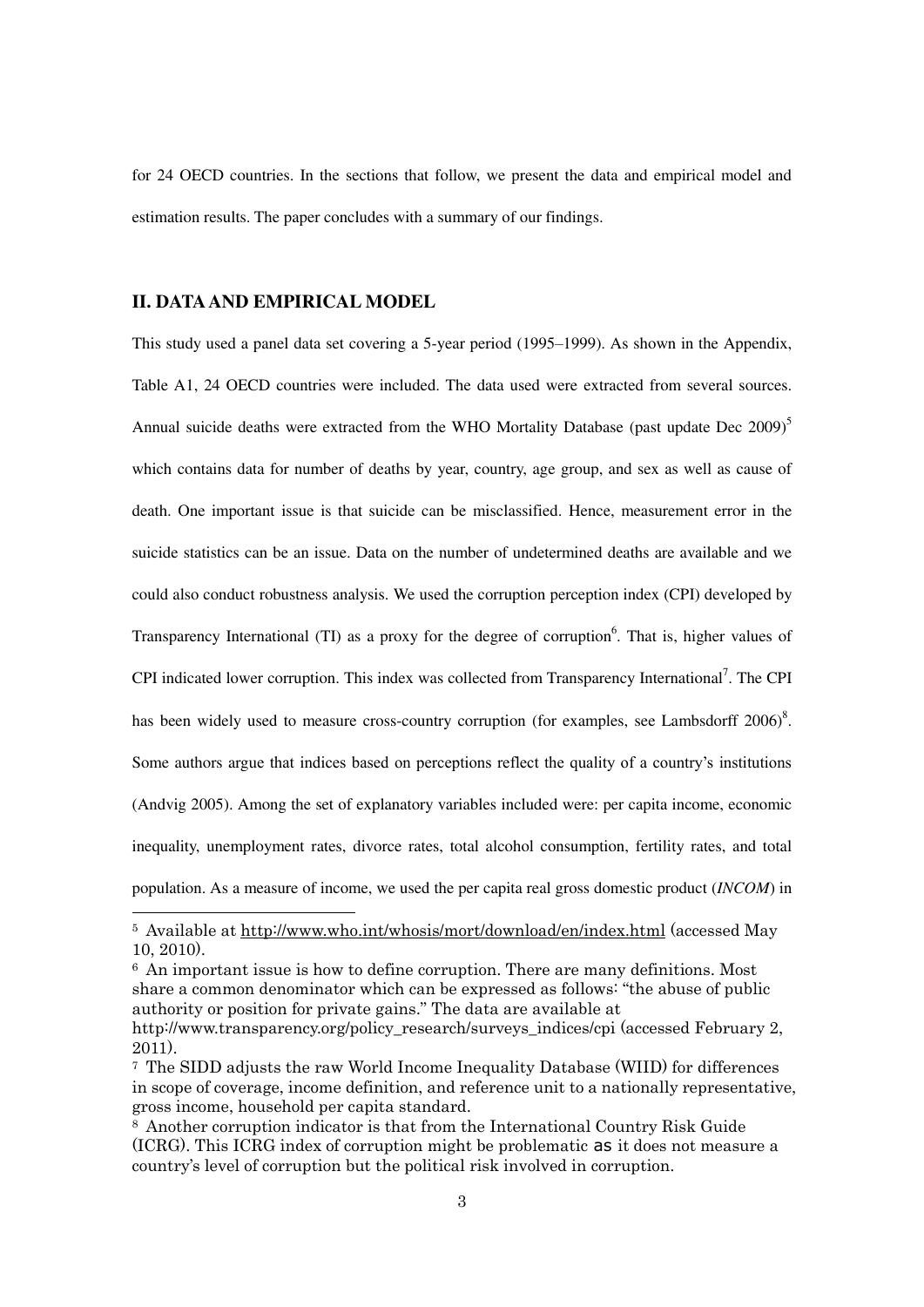for 24 OECD countries. In the sections that follow, we present the data and empirical model and estimation results. The paper concludes with a summary of our findings.

## **II. DATA AND EMPIRICAL MODEL**

1

This study used a panel data set covering a 5-year period (1995–1999). As shown in the Appendix, Table A1, 24 OECD countries were included. The data used were extracted from several sources. Annual suicide deaths were extracted from the WHO Mortality Database (past update Dec 2009)<sup>5</sup> which contains data for number of deaths by year, country, age group, and sex as well as cause of death. One important issue is that suicide can be misclassified. Hence, measurement error in the suicide statistics can be an issue. Data on the number of undetermined deaths are available and we could also conduct robustness analysis. We used the corruption perception index (CPI) developed by Transparency International (TI) as a proxy for the degree of corruption<sup>6</sup>. That is, higher values of CPI indicated lower corruption. This index was collected from Transparency International<sup>7</sup>. The CPI has been widely used to measure cross-country corruption (for examples, see Lambsdorff  $2006$ )<sup>8</sup>. Some authors argue that indices based on perceptions reflect the quality of a country's institutions (Andvig 2005). Among the set of explanatory variables included were: per capita income, economic inequality, unemployment rates, divorce rates, total alcohol consumption, fertility rates, and total population. As a measure of income, we used the per capita real gross domestic product (*INCOM*) in

<sup>6</sup> An important issue is how to define corruption. There are many definitions. Most share a common denominator which can be expressed as follows: "the abuse of public authority or position for private gains." The data are available at http://www.transparency.org/policy\_research/surveys\_indices/cpi (accessed February 2, 2011).

<sup>5</sup> Available at<http://www.who.int/whosis/mort/download/en/index.html>(accessed May 10, 2010).

<sup>7</sup> The SIDD adjusts the raw World Income Inequality Database (WIID) for differences in scope of coverage, income definition, and reference unit to a nationally representative, gross income, household per capita standard.

<sup>8</sup> Another corruption indicator is that from the International Country Risk Guide (ICRG). This ICRG index of corruption might be problematic as it does not measure a country's level of corruption but the political risk involved in corruption.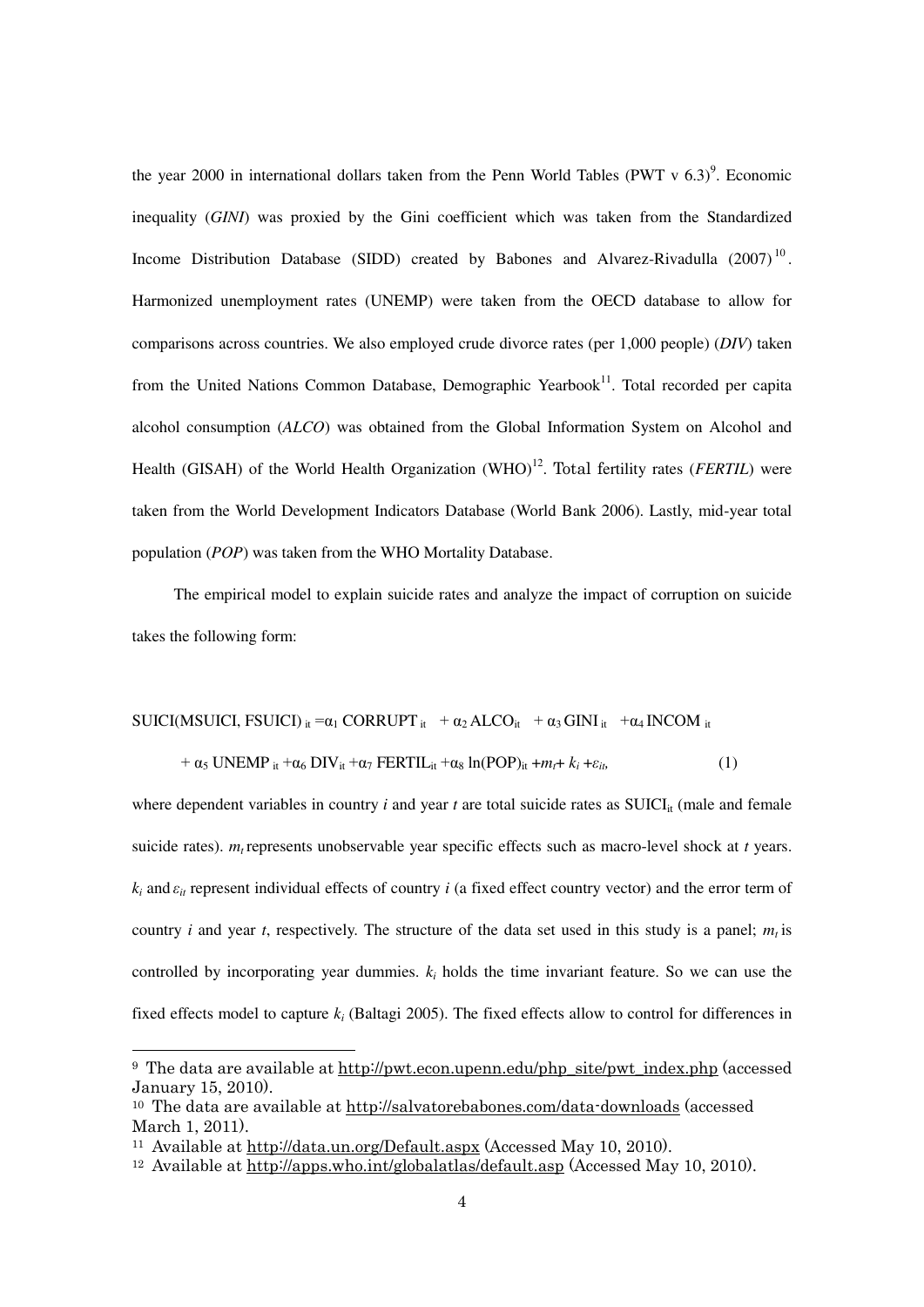the year 2000 in international dollars taken from the Penn World Tables (PWT v  $6.3$ )<sup>9</sup>. Economic inequality (*GINI*) was proxied by the Gini coefficient which was taken from the Standardized Income Distribution Database (SIDD) created by Babones and Alvarez-Rivadulla  $(2007)^{10}$ . Harmonized unemployment rates (UNEMP) were taken from the OECD database to allow for comparisons across countries. We also employed crude divorce rates (per 1,000 people) (*DIV*) taken from the United Nations Common Database, Demographic Yearbook<sup>11</sup>. Total recorded per capita alcohol consumption (*ALCO*) was obtained from the Global Information System on Alcohol and Health (GISAH) of the World Health Organization (WHO)<sup>12</sup>. Total fertility rates (*FERTIL*) were taken from the World Development Indicators Database (World Bank 2006). Lastly, mid-year total population (*POP*) was taken from the WHO Mortality Database.

The empirical model to explain suicide rates and analyze the impact of corruption on suicide takes the following form:

$$
SUICI(MSUICI, FSUICI)_{it} = \alpha_1 \text{CORRUPT}_{it} + \alpha_2 \text{ALCO}_{it} + \alpha_3 \text{GINI}_{it} + \alpha_4 \text{INCOM}_{it}
$$

$$
+ \alpha_5 \text{ UNEMP}_{it} + \alpha_6 \text{ DIV}_{it} + \alpha_7 \text{ FERTIL}_{it} + \alpha_8 \ln(\text{POP})_{it} + m_t + k_i + \varepsilon_{it}
$$
 (1)

where dependent variables in country  $i$  and year  $t$  are total suicide rates as SUICI<sub>it</sub> (male and female suicide rates).  $m_t$  represents unobservable year specific effects such as macro-level shock at *t* years. *k<sup>i</sup>* and *εit* represent individual effects of country *i* (a fixed effect country vector) and the error term of country *i* and year *t*, respectively. The structure of the data set used in this study is a panel;  $m_t$  is controlled by incorporating year dummies.  $k_i$  holds the time invariant feature. So we can use the fixed effects model to capture *k<sup>i</sup>* (Baltagi 2005). The fixed effects allow to control for differences in

1

<sup>9</sup> The data are available at [http://pwt.econ.upenn.edu/php\\_site/pwt\\_index.php](http://pwt.econ.upenn.edu/php_site/pwt_index.php) (accessed January 15, 2010).

<sup>&</sup>lt;sup>10</sup> The data are available at<http://salvatorebabones.com/data-downloads>(accessed March 1, 2011).

<sup>11</sup> Available at<http://data.un.org/Default.aspx>(Accessed May 10, 2010).

<sup>12</sup> Available at<http://apps.who.int/globalatlas/default.asp>(Accessed May 10, 2010).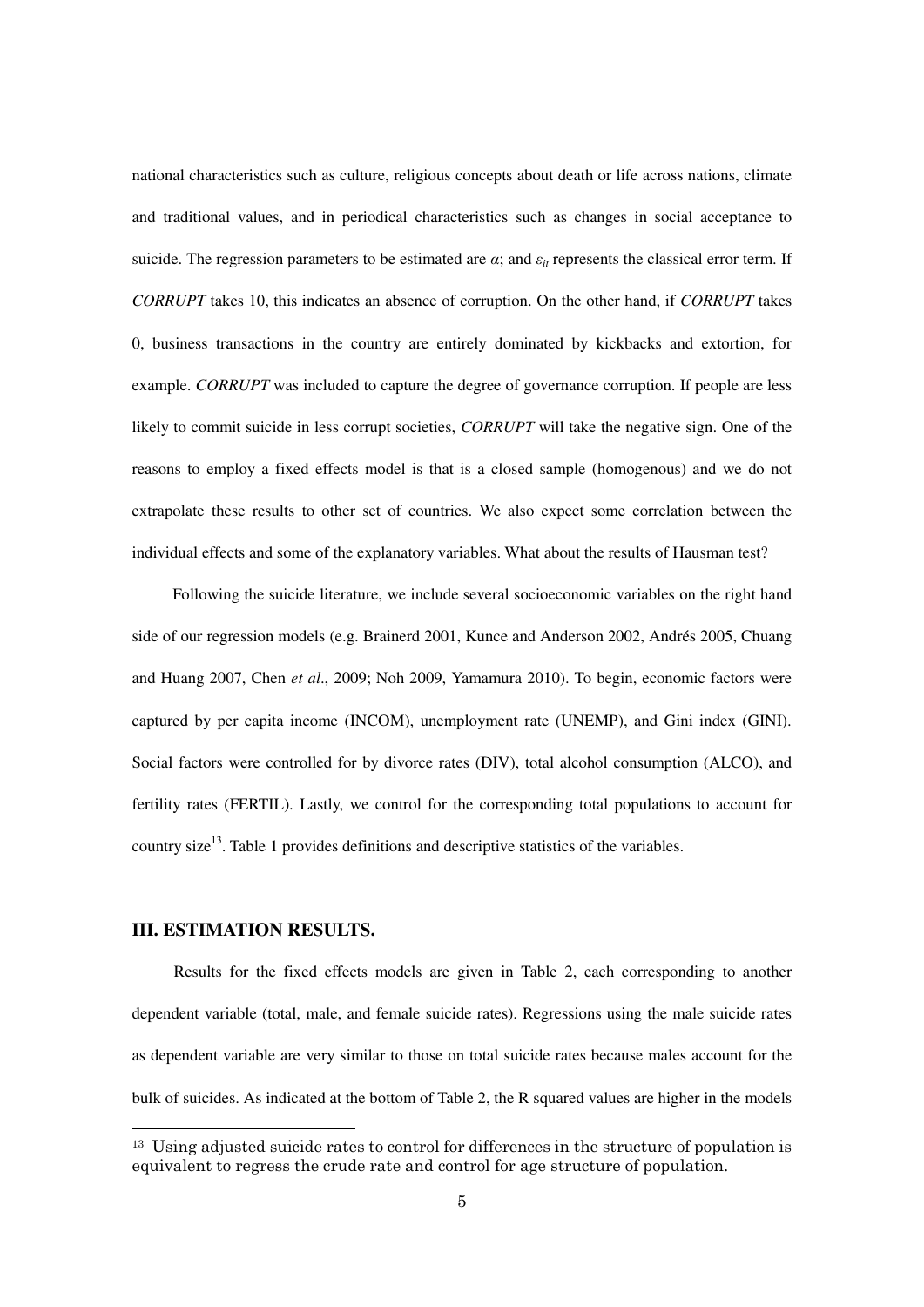national characteristics such as culture, religious concepts about death or life across nations, climate and traditional values, and in periodical characteristics such as changes in social acceptance to suicide. The regression parameters to be estimated are  $\alpha$ ; and  $\varepsilon$ <sub>*it*</sub> represents the classical error term. If *CORRUPT* takes 10, this indicates an absence of corruption. On the other hand, if *CORRUPT* takes 0, business transactions in the country are entirely dominated by kickbacks and extortion, for example. *CORRUPT* was included to capture the degree of governance corruption. If people are less likely to commit suicide in less corrupt societies, *CORRUPT* will take the negative sign. One of the reasons to employ a fixed effects model is that is a closed sample (homogenous) and we do not extrapolate these results to other set of countries. We also expect some correlation between the individual effects and some of the explanatory variables. What about the results of Hausman test?

Following the suicide literature, we include several socioeconomic variables on the right hand side of our regression models (e.g. Brainerd 2001, Kunce and Anderson 2002, Andrés 2005, Chuang and Huang 2007, Chen *et al*., 2009; Noh 2009, Yamamura 2010). To begin, economic factors were captured by per capita income (INCOM), unemployment rate (UNEMP), and Gini index (GINI). Social factors were controlled for by divorce rates (DIV), total alcohol consumption (ALCO), and fertility rates (FERTIL). Lastly, we control for the corresponding total populations to account for country size<sup>13</sup>. Table 1 provides definitions and descriptive statistics of the variables.

# **III. ESTIMATION RESULTS.**

1

Results for the fixed effects models are given in Table 2, each corresponding to another dependent variable (total, male, and female suicide rates). Regressions using the male suicide rates as dependent variable are very similar to those on total suicide rates because males account for the bulk of suicides. As indicated at the bottom of Table 2, the R squared values are higher in the models

 $13$  Using adjusted suicide rates to control for differences in the structure of population is equivalent to regress the crude rate and control for age structure of population.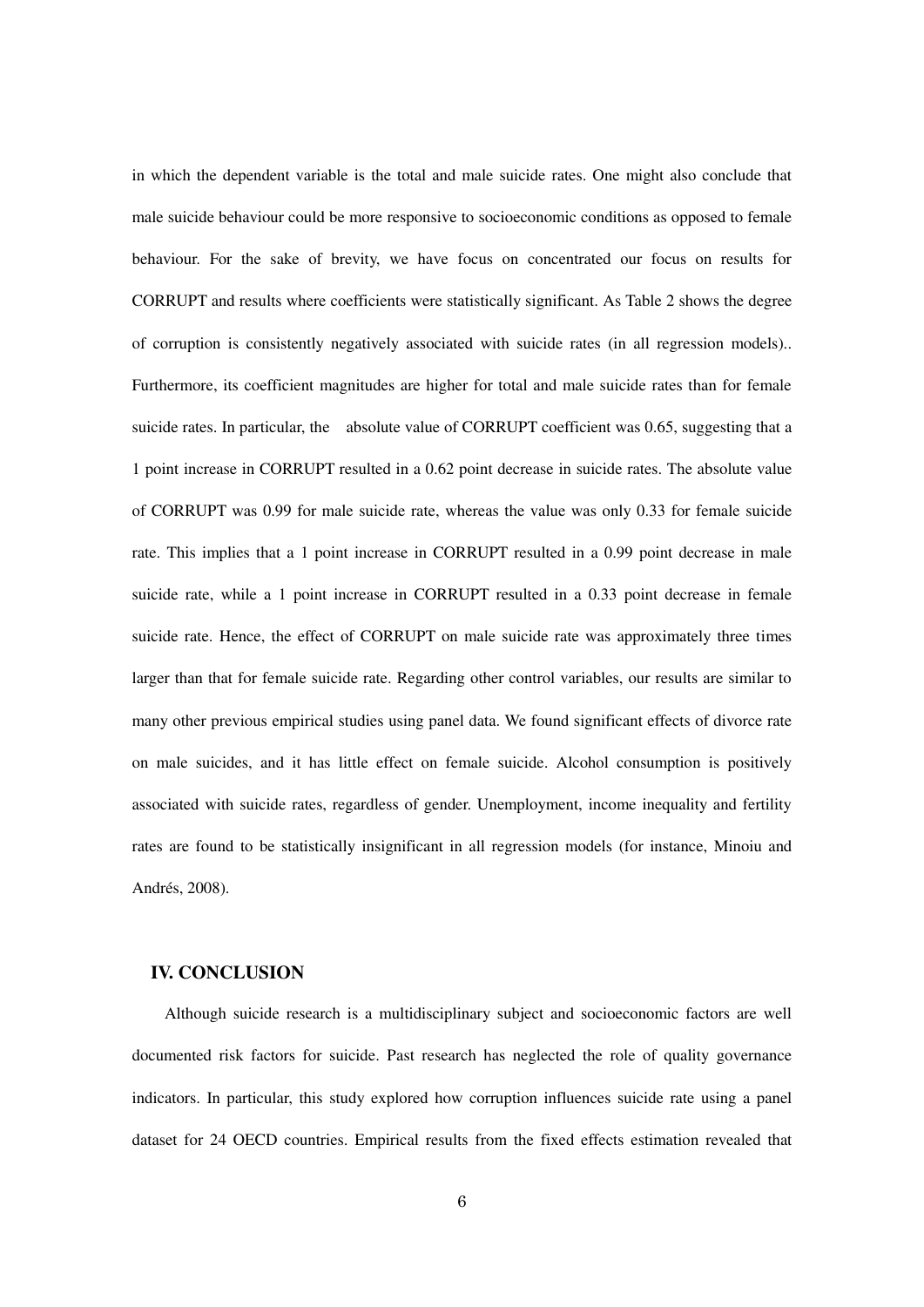in which the dependent variable is the total and male suicide rates. One might also conclude that male suicide behaviour could be more responsive to socioeconomic conditions as opposed to female behaviour. For the sake of brevity, we have focus on concentrated our focus on results for CORRUPT and results where coefficients were statistically significant. As Table 2 shows the degree of corruption is consistently negatively associated with suicide rates (in all regression models).. Furthermore, its coefficient magnitudes are higher for total and male suicide rates than for female suicide rates. In particular, the absolute value of CORRUPT coefficient was 0.65, suggesting that a 1 point increase in CORRUPT resulted in a 0.62 point decrease in suicide rates. The absolute value of CORRUPT was 0.99 for male suicide rate, whereas the value was only 0.33 for female suicide rate. This implies that a 1 point increase in CORRUPT resulted in a 0.99 point decrease in male suicide rate, while a 1 point increase in CORRUPT resulted in a 0.33 point decrease in female suicide rate. Hence, the effect of CORRUPT on male suicide rate was approximately three times larger than that for female suicide rate. Regarding other control variables, our results are similar to many other previous empirical studies using panel data. We found significant effects of divorce rate on male suicides, and it has little effect on female suicide. Alcohol consumption is positively associated with suicide rates, regardless of gender. Unemployment, income inequality and fertility rates are found to be statistically insignificant in all regression models (for instance, Minoiu and Andrés, 2008).

#### **IV. CONCLUSION**

Although suicide research is a multidisciplinary subject and socioeconomic factors are well documented risk factors for suicide. Past research has neglected the role of quality governance indicators. In particular, this study explored how corruption influences suicide rate using a panel dataset for 24 OECD countries. Empirical results from the fixed effects estimation revealed that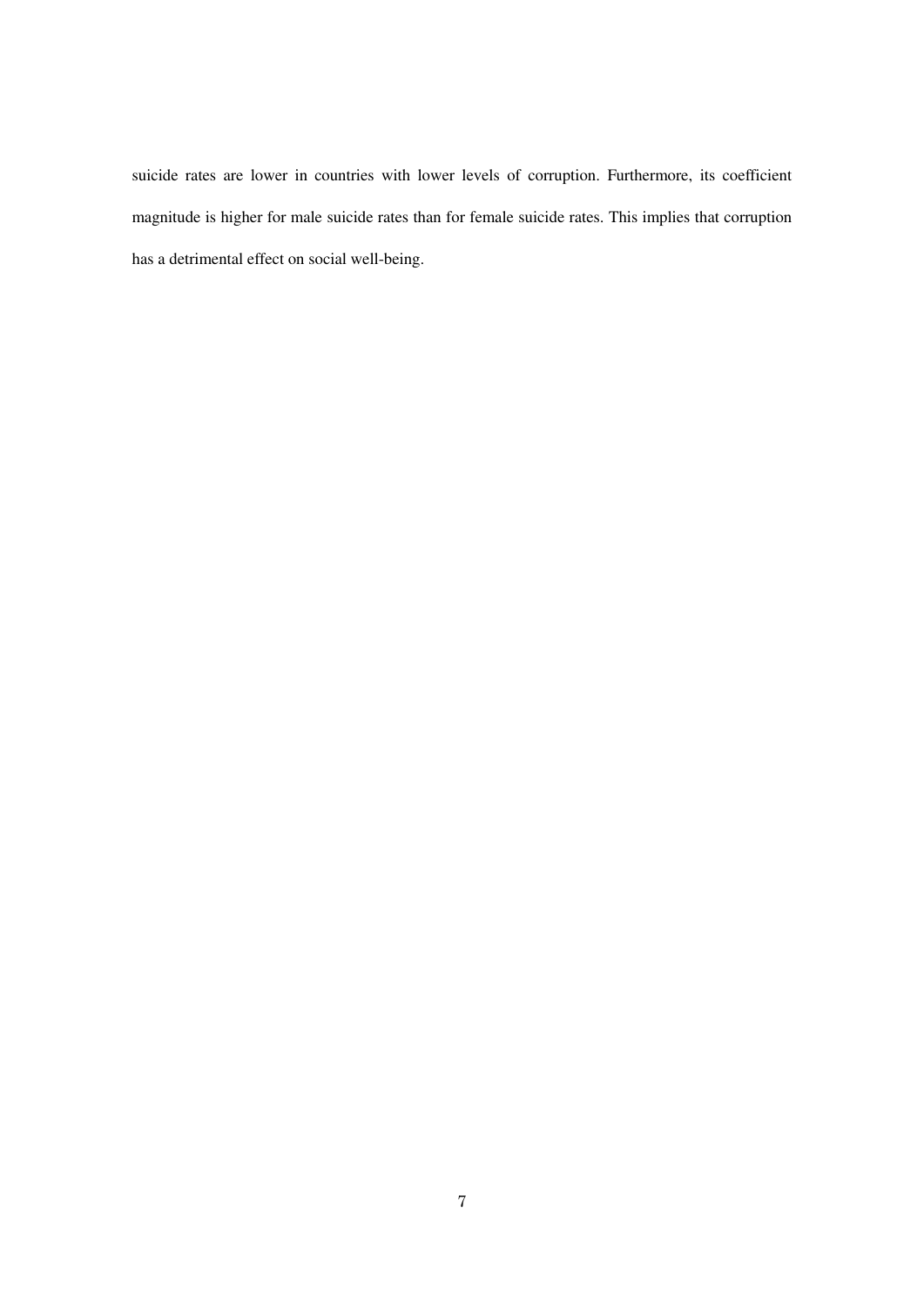suicide rates are lower in countries with lower levels of corruption. Furthermore, its coefficient magnitude is higher for male suicide rates than for female suicide rates. This implies that corruption has a detrimental effect on social well-being.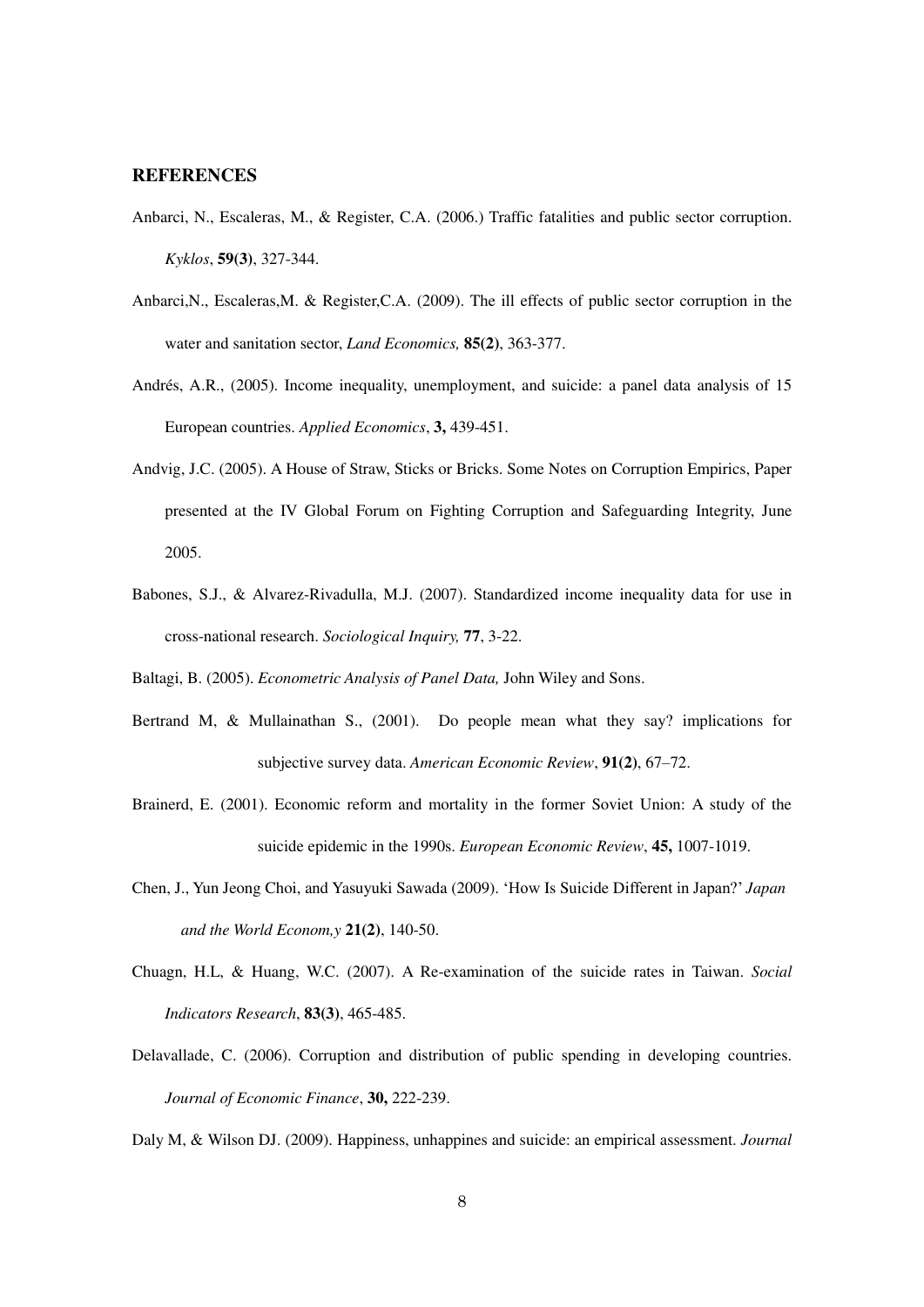### **REFERENCES**

- Anbarci, N., Escaleras, M., & Register, C.A. (2006.) Traffic fatalities and public sector corruption. *Kyklos*, **59(3)**, 327-344.
- Anbarci,N., Escaleras,M. & Register,C.A. (2009). The ill effects of public sector corruption in the water and sanitation sector, *Land Economics,* **85(2)**, 363-377.
- Andrés, A.R., (2005). Income inequality, unemployment, and suicide: a panel data analysis of 15 European countries. *Applied Economics*, **3,** 439-451.
- Andvig, J.C. (2005). A House of Straw, Sticks or Bricks. Some Notes on Corruption Empirics, Paper presented at the IV Global Forum on Fighting Corruption and Safeguarding Integrity, June 2005.
- Babones, S.J., & Alvarez-Rivadulla, M.J. (2007). Standardized income inequality data for use in cross-national research. *Sociological Inquiry,* **77**, 3-22.
- Baltagi, B. (2005). *Econometric Analysis of Panel Data,* John Wiley and Sons.
- Bertrand M, & Mullainathan S., (2001). Do people mean what they say? implications for subjective survey data. *American Economic Review*, **91(2)**, 67–72.
- Brainerd, E. (2001). Economic reform and mortality in the former Soviet Union: A study of the suicide epidemic in the 1990s. *European Economic Review*, **45,** 1007-1019.
- Chen, J., Yun Jeong Choi, and Yasuyuki Sawada (2009). 'How Is Suicide Different in Japan?' *Japan and the World Econom,y* **21(2)**, 140-50.
- Chuagn, H.L, & Huang, W.C. (2007). A Re-examination of the suicide rates in Taiwan. *Social Indicators Research*, **83(3)**, 465-485.
- Delavallade, C. (2006). Corruption and distribution of public spending in developing countries. *Journal of Economic Finance*, **30,** 222-239.

Daly M, & Wilson DJ. (2009). Happiness, unhappines and suicide: an empirical assessment. *Journal*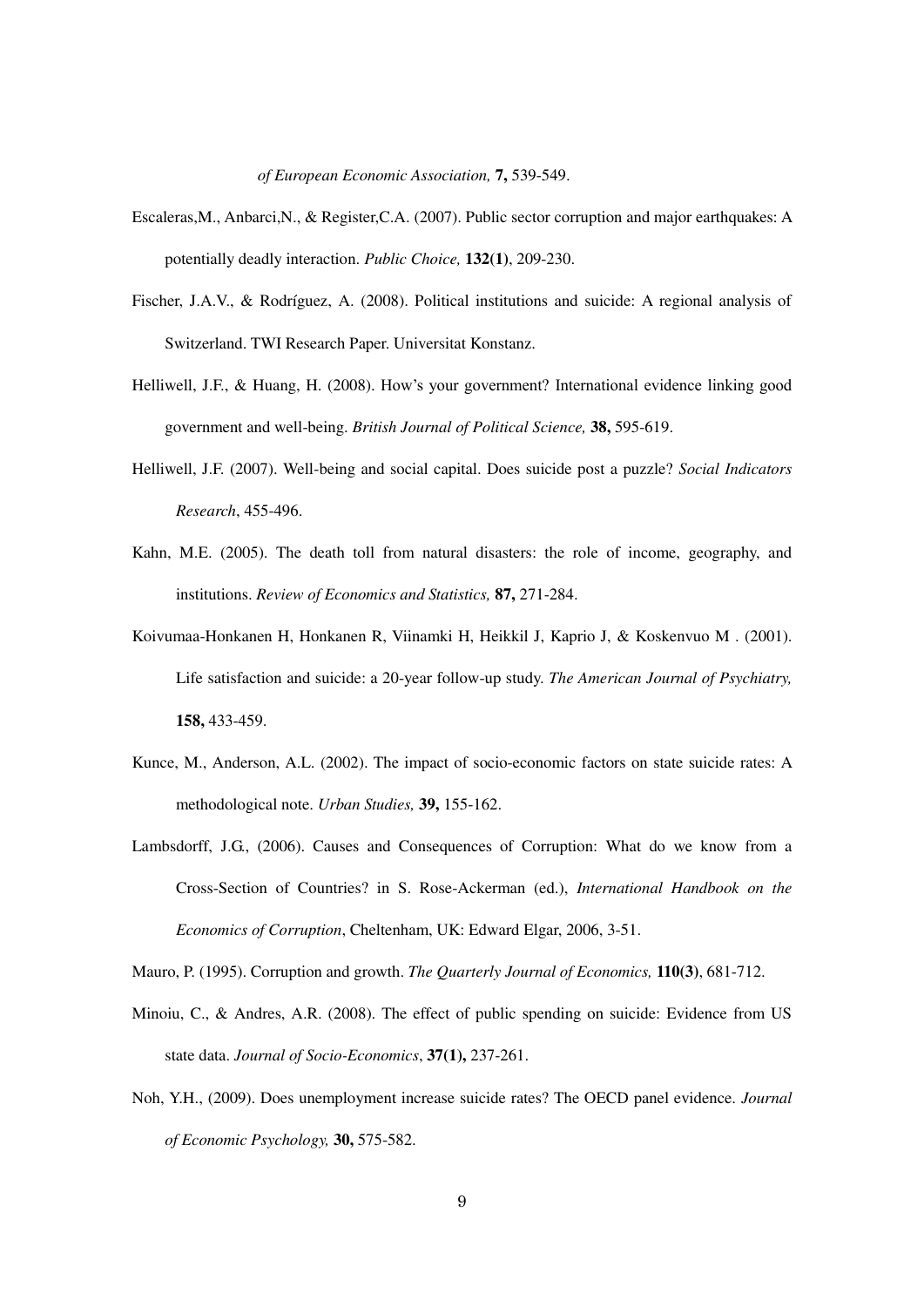*of European Economic Association,* **7,** 539-549.

- Escaleras,M., Anbarci,N., & Register,C.A. (2007). Public sector corruption and major earthquakes: A potentially deadly interaction. *Public Choice,* **132(1)**, 209-230.
- Fischer, J.A.V., & Rodríguez, A. (2008). Political institutions and suicide: A regional analysis of Switzerland. TWI Research Paper. Universitat Konstanz.
- Helliwell, J.F., & Huang, H. (2008). How's your government? International evidence linking good government and well-being. *British Journal of Political Science,* **38,** 595-619.
- Helliwell, J.F. (2007). Well-being and social capital. Does suicide post a puzzle? *Social Indicators Research*, 455-496.
- Kahn, M.E. (2005). The death toll from natural disasters: the role of income, geography, and institutions. *Review of Economics and Statistics,* **87,** 271-284.
- Koivumaa-Honkanen H, Honkanen R, Viinamki H, Heikkil J, Kaprio J, & Koskenvuo M . (2001). Life satisfaction and suicide: a 20-year follow-up study. *The American Journal of Psychiatry,*  **158,** 433-459.
- Kunce, M., Anderson, A.L. (2002). The impact of socio-economic factors on state suicide rates: A methodological note. *Urban Studies,* **39,** 155-162.
- Lambsdorff, J.G., (2006). Causes and Consequences of Corruption: What do we know from a Cross-Section of Countries? in S. Rose-Ackerman (ed.), *International Handbook on the Economics of Corruption*, Cheltenham, UK: Edward Elgar, 2006, 3-51.

Mauro, P. (1995). Corruption and growth. *The Quarterly Journal of Economics,* **110(3)**, 681-712.

- Minoiu, C., & Andres, A.R. (2008). The effect of public spending on suicide: Evidence from US state data. *Journal of Socio-Economics*, **37(1),** 237-261.
- Noh, Y.H., (2009). Does unemployment increase suicide rates? The OECD panel evidence. *Journal of Economic Psychology,* **30,** 575-582.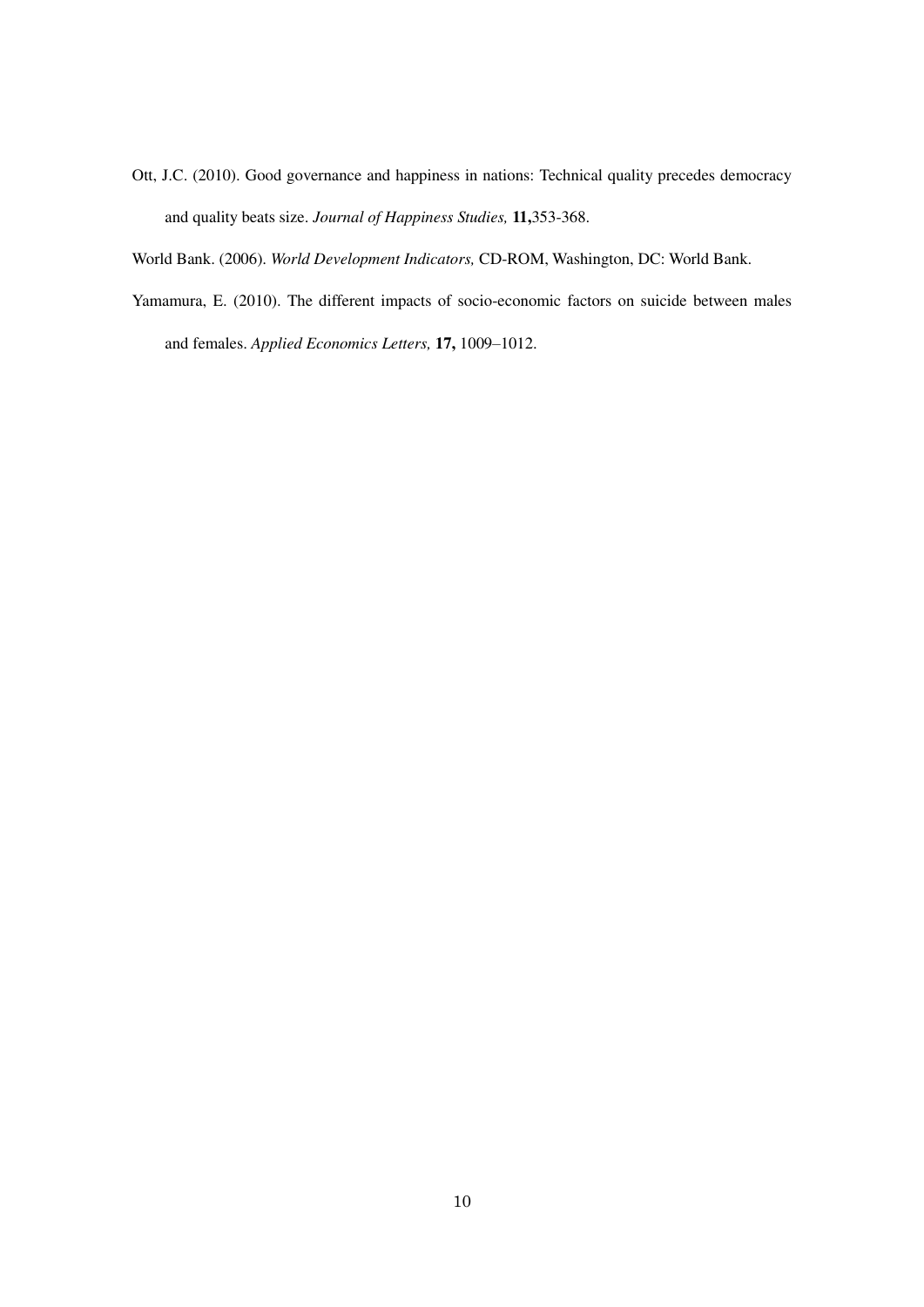Ott, J.C. (2010). Good governance and happiness in nations: Technical quality precedes democracy and quality beats size. *Journal of Happiness Studies,* **11,**353-368.

World Bank. (2006). *World Development Indicators,* CD-ROM, Washington, DC: World Bank.

Yamamura, E. (2010). The different impacts of socio-economic factors on suicide between males and females. *Applied Economics Letters,* **17,** 1009–1012.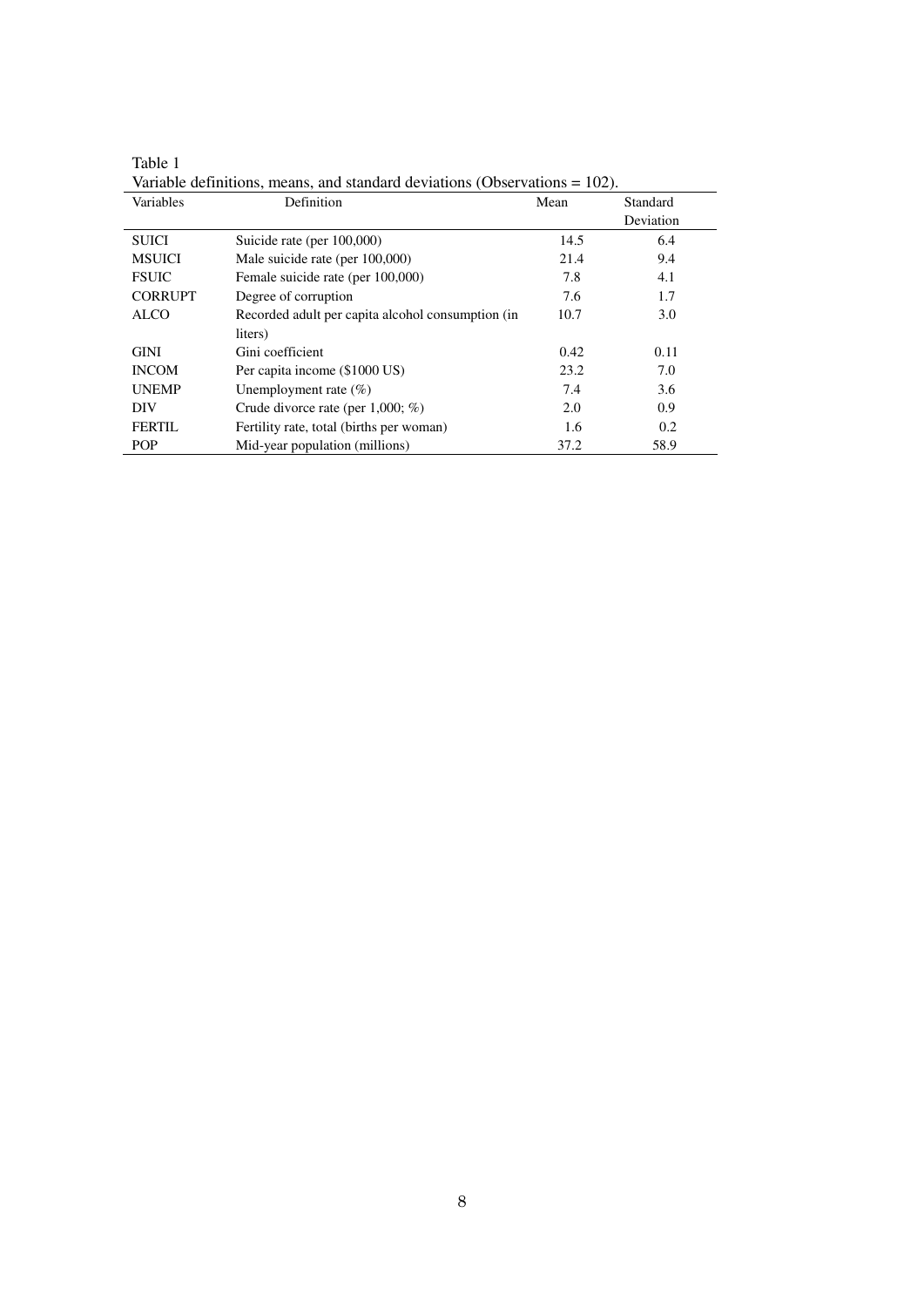Table 1

| Variables      | Definition                                        | Mean | Standard  |
|----------------|---------------------------------------------------|------|-----------|
|                |                                                   |      | Deviation |
| <b>SUICI</b>   | Suicide rate (per 100,000)                        | 14.5 | 6.4       |
| <b>MSUICI</b>  | Male suicide rate (per 100,000)                   | 21.4 | 9.4       |
| <b>FSUIC</b>   | Female suicide rate (per 100,000)                 | 7.8  | 4.1       |
| <b>CORRUPT</b> | Degree of corruption                              | 7.6  | 1.7       |
| <b>ALCO</b>    | Recorded adult per capita alcohol consumption (in | 10.7 | 3.0       |
|                | liters)                                           |      |           |
| <b>GINI</b>    | Gini coefficient                                  | 0.42 | 0.11      |
| <b>INCOM</b>   | Per capita income (\$1000 US)                     | 23.2 | 7.0       |
| <b>UNEMP</b>   | Unemployment rate $(\%)$                          | 7.4  | 3.6       |
| DIV            | Crude divorce rate (per $1,000; \%$ )             | 2.0  | 0.9       |
| <b>FERTIL</b>  | Fertility rate, total (births per woman)          | 1.6  | 0.2       |
| <b>POP</b>     | Mid-year population (millions)                    | 37.2 | 58.9      |

Variable definitions, means, and standard deviations (Observations = 102).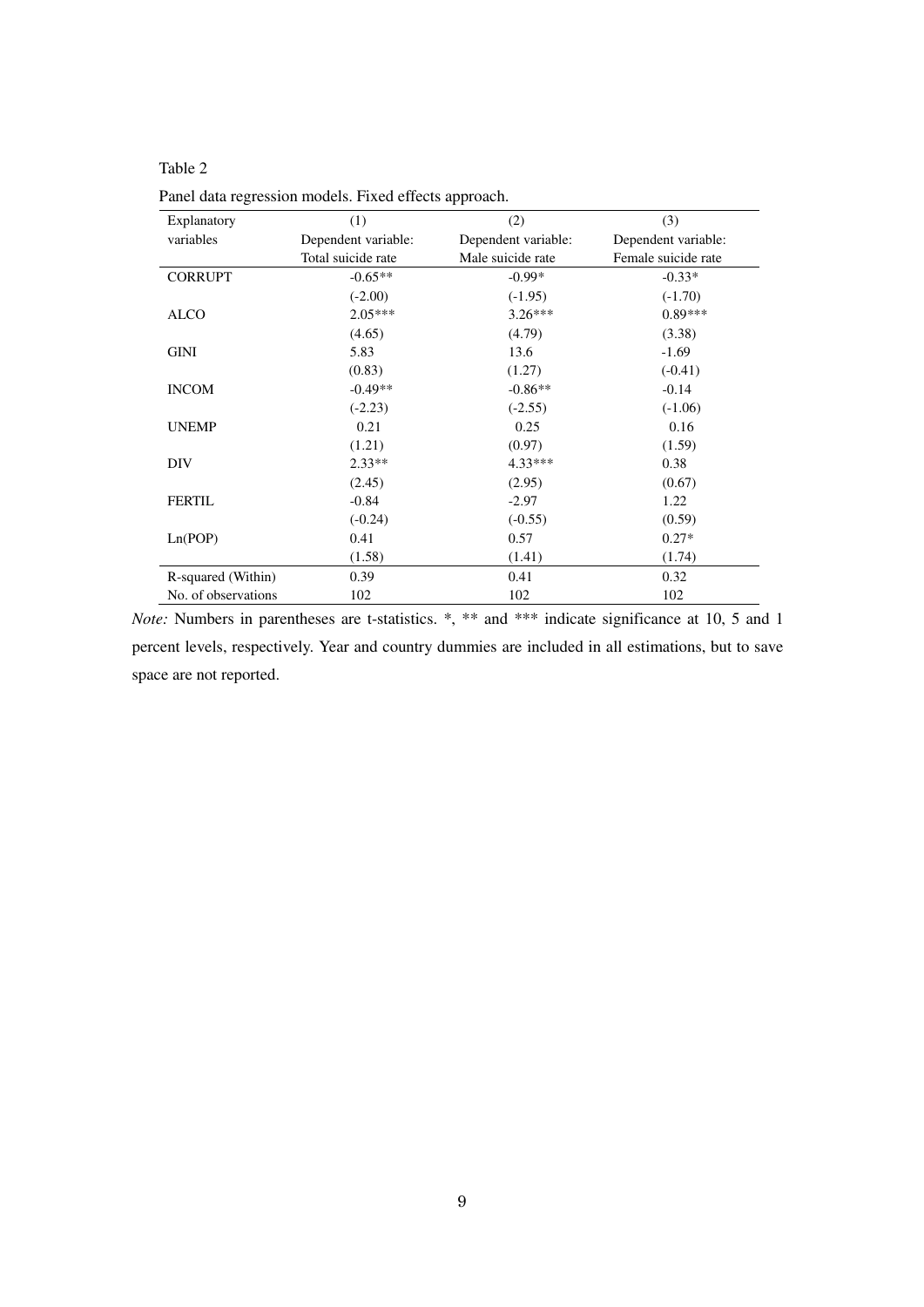Table 2

| Explanatory         | (1)                 | (2)                 | (3)                 |
|---------------------|---------------------|---------------------|---------------------|
| variables           | Dependent variable: | Dependent variable: | Dependent variable: |
|                     | Total suicide rate  | Male suicide rate   | Female suicide rate |
| <b>CORRUPT</b>      | $-0.65**$           | $-0.99*$            | $-0.33*$            |
|                     | $(-2.00)$           | $(-1.95)$           | $(-1.70)$           |
| <b>ALCO</b>         | $2.05***$           | $3.26***$           | $0.89***$           |
|                     | (4.65)              | (4.79)              | (3.38)              |
| GINI                | 5.83                | 13.6                | $-1.69$             |
|                     | (0.83)              | (1.27)              | $(-0.41)$           |
| <b>INCOM</b>        | $-0.49**$           | $-0.86**$           | $-0.14$             |
|                     | $(-2.23)$           | $(-2.55)$           | $(-1.06)$           |
| <b>UNEMP</b>        | 0.21                | 0.25                | 0.16                |
|                     | (1.21)              | (0.97)              | (1.59)              |
| DIV                 | $2.33**$            | $4.33***$           | 0.38                |
|                     | (2.45)              | (2.95)              | (0.67)              |
| <b>FERTIL</b>       | $-0.84$             | $-2.97$             | 1.22                |
|                     | $(-0.24)$           | $(-0.55)$           | (0.59)              |
| Ln(POP)             | 0.41                | 0.57                | $0.27*$             |
|                     | (1.58)              | (1.41)              | (1.74)              |
| R-squared (Within)  | 0.39                | 0.41                | 0.32                |
| No. of observations | 102                 | 102                 | 102                 |

Panel data regression models. Fixed effects approach.

*Note:* Numbers in parentheses are t-statistics. \*, \*\* and \*\*\* indicate significance at 10, 5 and 1 percent levels, respectively. Year and country dummies are included in all estimations, but to save space are not reported.